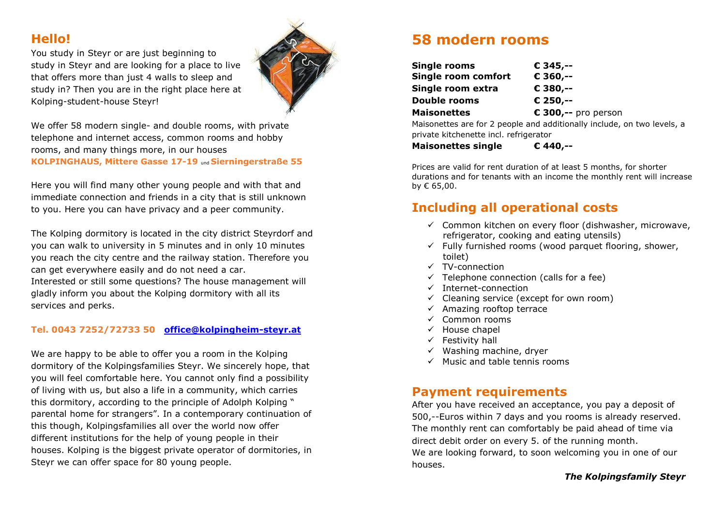#### **Hello!**

You study in Steyr or are just beginning to study in Steyr and are looking for a place to live that offers more than just 4 walls to sleep and study in? Then you are in the right place here at Kolping-student-house Steyr!



We offer 58 modern single- and double rooms, with private telephone and internet access, common rooms and hobby rooms, and many things more, in our houses **KOLPINGHAUS, Mittere Gasse 17-19** und **Sierningerstraße 55**

Here you will find many other young people and with that and immediate connection and friends in a city that is still unknown to you. Here you can have privacy and a peer community.

The Kolping dormitory is located in the city district Steyrdorf and you can walk to university in 5 minutes and in only 10 minutes you reach the city centre and the railway station. Therefore you can get everywhere easily and do not need a car. Interested or still some questions? The house management will

gladly inform you about the Kolping dormitory with all its services and perks.

#### **Tel. 0043 7252/72733 50 [office@kolpingheim-steyr.at](mailto:office@kolpingheim-steyr.at)**

We are happy to be able to offer you a room in the Kolping dormitory of the Kolpingsfamilies Steyr. We sincerely hope, that you will feel comfortable here. You cannot only find a possibility of living with us, but also a life in a community, which carries this dormitory, according to the principle of Adolph Kolping " parental home for strangers". In a contemporary continuation of this though, Kolpingsfamilies all over the world now offer different institutions for the help of young people in their houses. Kolping is the biggest private operator of dormitories, in Steyr we can offer space for 80 young people.

## **58 modern rooms**

| <b>Single rooms</b> | € 345,--                                                                |
|---------------------|-------------------------------------------------------------------------|
| Single room comfort | € 360,--                                                                |
| Single room extra   | € 380,--                                                                |
| Double rooms        | € 250.--                                                                |
| <b>Maisonettes</b>  | $\epsilon$ 300,-- pro person                                            |
|                     | Maisonettes are for 2 people and additionally include, on two levels, a |

private kitchenette incl. refrigerator

**Maisonettes single € 440,--**

Prices are valid for rent duration of at least 5 months, for shorter durations and for tenants with an income the monthly rent will increase by € 65,00.

## **Including all operational costs**

- $\checkmark$  Common kitchen on every floor (dishwasher, microwave, refrigerator, cooking and eating utensils)
- $\checkmark$  Fully furnished rooms (wood parquet flooring, shower, toilet)
- $\checkmark$  TV-connection
- $\checkmark$  Telephone connection (calls for a fee)
- $\checkmark$  Internet-connection
- $\checkmark$  Cleaning service (except for own room)
- $\checkmark$  Amazing rooftop terrace
- $\checkmark$  Common rooms
- $\checkmark$  House chapel
- $\checkmark$  Festivity hall
- $\checkmark$  Washing machine, dryer
- $\checkmark$  Music and table tennis rooms

### **Payment requirements**

After you have received an acceptance, you pay a deposit of 500,--Euros within 7 days and you rooms is already reserved. The monthly rent can comfortably be paid ahead of time via direct debit order on every 5. of the running month.

We are looking forward, to soon welcoming you in one of our houses.